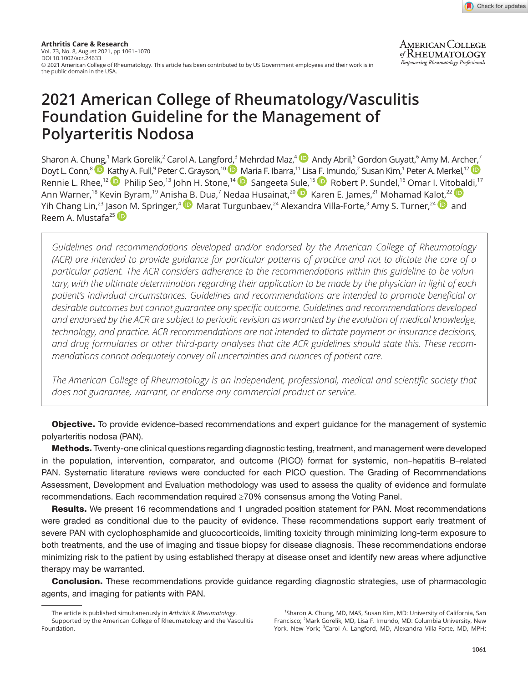

**AMERICAN COLLEGE** of RHEUMATOLOGY **Empowering Rheumatology Professionals** 

# **2021 American College of Rheumatology/Vasculitis Foundation Guideline for the Management of Polyarteritis Nodosa**

Sharon A. Ch[ung,](https://orcid.org/0000-0003-3303-3944)<sup>1</sup> Mark Gorelik,<sup>2</sup> Carol A. Langfo[rd,](https://orcid.org/0000-0002-8269-9438)<sup>3</sup>Mehrdad Maz,<sup>4 (</sup>D) Andy Abril,<sup>5</sup> Gordon Guyatt,<sup>6</sup> Amy M. Arc[her,](https://orcid.org/0000-0001-9284-7345)<sup>7</sup> Doyt L. Conn,<sup>8</sup> D [Kath](https://orcid.org/0000-0002-4907-0304)y A. Full,<sup>9</sup> Peter C. Grayson,<sup>10</sup> D [Ma](https://orcid.org/0000-0001-6588-9435)ria F. Ibarra,<sup>11</sup> Lis[a F. Im](https://orcid.org/0000-0002-5876-376X)undo,<sup>2</sup> Susan Kim,<sup>1</sup> Peter A. Merkel,<sup>12</sup> Rennie L. Rhee,<sup>12</sup> Philip Seo,<sup>13</sup> John H. Stone,<sup>14</sup> D Sangeeta S[ule,](https://orcid.org/0000-0002-9638-2992)<sup>15</sup> D Robert P. Sundel,<sup>16</sup> Omar I. Vit[obal](https://orcid.org/0000-0002-6581-4561)di,<sup>17</sup> Ann Warner,<sup>18</sup> Kevin Byram,<sup>19</sup> Anis[ha B](https://orcid.org/0000-0002-3903-6049). Dua,<sup>7</sup> Nedaa Husainat,<sup>20</sup> D Karen E. James,<sup>21</sup> Mohamad Ka[lot,](https://orcid.org/0000-0001-7695-2022)<sup>22</sup> Yih Chang Lin,<sup>23</sup> Ja[son](https://orcid.org/0000-0002-2091-0875) M. Springer,<sup>4 (D</sup>) Marat Turgunbaev,<sup>24</sup> Alexandra Villa-Forte,<sup>3</sup> Amy S. Turner,<sup>24 (D</sup>) and Reem A. Mustafa<sup>25</sup>

*Guidelines and recommendations developed and/or endorsed by the American College of Rheumatology (ACR) are intended to provide guidance for particular patterns of practice and not to dictate the care of a particular patient. The ACR considers adherence to the recommendations within this guideline to be voluntary, with the ultimate determination regarding their application to be made by the physician in light of each patient's individual circumstances. Guidelines and recommendations are intended to promote beneficial or desirable outcomes but cannot guarantee any specific outcome. Guidelines and recommendations developed and endorsed by the ACR are subject to periodic revision as warranted by the evolution of medical knowledge, technology, and practice. ACR recommendations are not intended to dictate payment or insurance decisions, and drug formularies or other third-party analyses that cite ACR guidelines should state this. These recommendations cannot adequately convey all uncertainties and nuances of patient care.*

*The American College of Rheumatology is an independent, professional, medical and scientific society that does not guarantee, warrant, or endorse any commercial product or service.*

**Objective.** To provide evidence-based recommendations and expert guidance for the management of systemic polyarteritis nodosa (PAN).

Methods. Twenty-one clinical questions regarding diagnostic testing, treatment, and management were developed in the population, intervention, comparator, and outcome (PICO) format for systemic, non–hepatitis B–related PAN. Systematic literature reviews were conducted for each PICO question. The Grading of Recommendations Assessment, Development and Evaluation methodology was used to assess the quality of evidence and formulate recommendations. Each recommendation required ≥70% consensus among the Voting Panel.

**Results.** We present 16 recommendations and 1 ungraded position statement for PAN. Most recommendations were graded as conditional due to the paucity of evidence. These recommendations support early treatment of severe PAN with cyclophosphamide and glucocorticoids, limiting toxicity through minimizing long-term exposure to both treatments, and the use of imaging and tissue biopsy for disease diagnosis. These recommendations endorse minimizing risk to the patient by using established therapy at disease onset and identify new areas where adjunctive therapy may be warranted.

**Conclusion.** These recommendations provide guidance regarding diagnostic strategies, use of pharmacologic agents, and imaging for patients with PAN.

<sup>1</sup>Sharon A. Chung, MD, MAS, Susan Kim, MD: University of California, San Francisco; <sup>2</sup>Mark Gorelik, MD, Lisa F. Imundo, MD: Columbia University, New York, New York; <sup>3</sup>Carol A. Langford, MD, Alexandra Villa-Forte, MD, MPH:

The article is published simultaneously in *Arthritis & Rheumatology*. Supported by the American College of Rheumatology and the Vasculitis Foundation.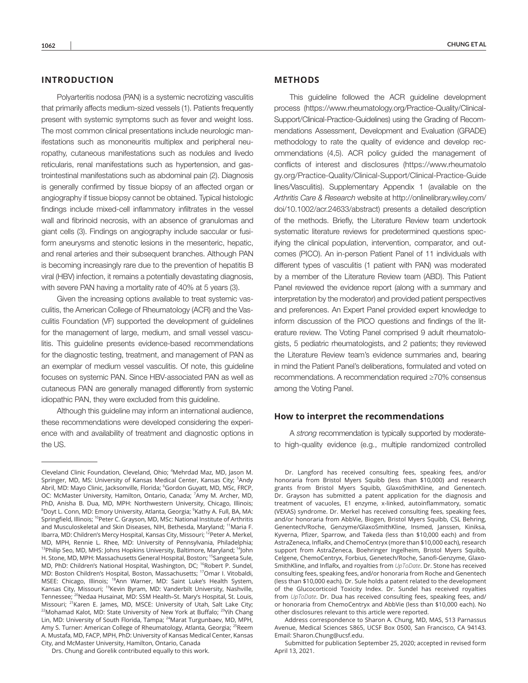## **INTRODUCTION**

Polyarteritis nodosa (PAN) is a systemic necrotizing vasculitis that primarily affects medium-sized vessels (1). Patients frequently present with systemic symptoms such as fever and weight loss. The most common clinical presentations include neurologic manifestations such as mononeuritis multiplex and peripheral neuropathy, cutaneous manifestations such as nodules and livedo reticularis, renal manifestations such as hypertension, and gastrointestinal manifestations such as abdominal pain (2). Diagnosis is generally confirmed by tissue biopsy of an affected organ or angiography if tissue biopsy cannot be obtained. Typical histologic findings include mixed-cell inflammatory infiltrates in the vessel wall and fibrinoid necrosis, with an absence of granulomas and giant cells (3). Findings on angiography include saccular or fusiform aneurysms and stenotic lesions in the mesenteric, hepatic, and renal arteries and their subsequent branches. Although PAN is becoming increasingly rare due to the prevention of hepatitis B viral (HBV) infection, it remains a potentially devastating diagnosis, with severe PAN having a mortality rate of 40% at 5 years (3).

Given the increasing options available to treat systemic vasculitis, the American College of Rheumatology (ACR) and the Vasculitis Foundation (VF) supported the development of guidelines for the management of large, medium, and small vessel vasculitis. This guideline presents evidence-based recommendations for the diagnostic testing, treatment, and management of PAN as an exemplar of medium vessel vasculitis. Of note, this guideline focuses on systemic PAN. Since HBV-associated PAN as well as cutaneous PAN are generally managed differently from systemic idiopathic PAN, they were excluded from this guideline.

Although this guideline may inform an international audience, these recommendations were developed considering the experience with and availability of treatment and diagnostic options in the US.

## **METHODS**

This guideline followed the ACR guideline development process ([https://www.rheumatology.org/Practice-Quality/Clinical-](https://www.rheumatology.org/Practice-Quality/Clinical-Support/Clinical-Practice-Guidelines)[Support/Clinical-Practice-Guidelines\)](https://www.rheumatology.org/Practice-Quality/Clinical-Support/Clinical-Practice-Guidelines) using the Grading of Recommendations Assessment, Development and Evaluation (GRADE) methodology to rate the quality of evidence and develop recommendations (4,5). ACR policy guided the management of conflicts of interest and disclosures ([https://www.rheumatolo](https://www.rheumatology.org/Practice-Quality/Clinical-Support/Clinical-Practice-Guidelines/Vasculitis) [gy.org/Practice-Quality/Clinical-Support/Clinical-Practice-Guide](https://www.rheumatology.org/Practice-Quality/Clinical-Support/Clinical-Practice-Guidelines/Vasculitis) [lines/Vasculitis\)](https://www.rheumatology.org/Practice-Quality/Clinical-Support/Clinical-Practice-Guidelines/Vasculitis). Supplementary Appendix 1 (available on the *Arthritis Care & Research* website at [http://onlinelibrary.wiley.com/](http://onlinelibrary.wiley.com/doi/10.1002/acr.24633/abstract) [doi/10.1002/acr.24633/abstract\)](http://onlinelibrary.wiley.com/doi/10.1002/acr.24633/abstract) presents a detailed description of the methods. Briefly, the Literature Review team undertook systematic literature reviews for predetermined questions specifying the clinical population, intervention, comparator, and outcomes (PICO). An in-person Patient Panel of 11 individuals with different types of vasculitis (1 patient with PAN) was moderated by a member of the Literature Review team (ABD). This Patient Panel reviewed the evidence report (along with a summary and interpretation by the moderator) and provided patient perspectives and preferences. An Expert Panel provided expert knowledge to inform discussion of the PICO questions and findings of the literature review. The Voting Panel comprised 9 adult rheumatologists, 5 pediatric rheumatologists, and 2 patients; they reviewed the Literature Review team's evidence summaries and, bearing in mind the Patient Panel's deliberations, formulated and voted on recommendations. A recommendation required ≥70% consensus among the Voting Panel.

#### **How to interpret the recommendations**

A *strong* recommendation is typically supported by moderateto high-quality evidence (e.g., multiple randomized controlled

Cleveland Clinic Foundation, Cleveland, Ohio; <sup>4</sup> Mehrdad Maz, MD, Jason M. Springer, MD, MS: University of Kansas Medical Center, Kansas City; <sup>5</sup>Andy Abril, MD: Mayo Clinic, Jacksonville, Florida; <sup>6</sup>Gordon Guyatt, MD, MSc, FRCP, OC: McMaster University, Hamilton, Ontario, Canada; <sup>7</sup>Amy M. Archer, MD, PhD, Anisha B. Dua, MD, MPH: Northwestern University, Chicago, Illinois; <sup>8</sup>Doyt L. Conn, MD: Emory University, Atlanta, Georgia; <sup>9</sup>Kathy A. Full, BA, MA: Springfield, Illinois; <sup>10</sup>Peter C. Grayson, MD, MSc: National Institute of Arthritis and Musculoskeletal and Skin Diseases, NIH, Bethesda, Maryland; <sup>11</sup>Maria F. Ibarra, MD: Children's Mercy Hospital, Kansas City, Missouri; <sup>12</sup>Peter A. Merkel, MD, MPH, Rennie L. Rhee, MD: University of Pennsylvania, Philadelphia; <sup>13</sup>Philip Seo, MD, MHS: Johns Hopkins University, Baltimore, Maryland; <sup>14</sup>John H. Stone, MD, MPH: Massachusetts General Hospital, Boston; <sup>15</sup>Sangeeta Sule, MD, PhD: Children's National Hospital, Washington, DC; <sup>16</sup>Robert P. Sundel, MD: Boston Children's Hospital, Boston, Massachusetts; <sup>17</sup>Omar I. Vitobaldi, MSEE: Chicago, Illinois; <sup>18</sup>Ann Warner, MD: Saint Luke's Health System, Kansas City, Missouri; <sup>19</sup>Kevin Byram, MD: Vanderbilt University, Nashville, Tennessee; <sup>20</sup>Nedaa Husainat, MD: SSM Health-St. Mary's Hospital, St. Louis, Missouri; <sup>21</sup>Karen E. James, MD, MSCE: University of Utah, Salt Lake City; <sup>22</sup>Mohamad Kalot, MD: State University of New York at Buffalo; <sup>23</sup>Yih Chang Lin, MD: University of South Florida, Tampa; <sup>24</sup>Marat Turgunbaev, MD, MPH, Amy S. Turner: American College of Rheumatology, Atlanta, Georgia; <sup>25</sup>Reem A. Mustafa, MD, FACP, MPH, PhD: University of Kansas Medical Center, Kansas City, and McMaster University, Hamilton, Ontario, Canada

Drs. Chung and Gorelik contributed equally to this work.

Dr. Langford has received consulting fees, speaking fees, and/or honoraria from Bristol Myers Squibb (less than \$10,000) and research grants from Bristol Myers Squibb, GlaxoSmithKline, and Genentech. Dr. Grayson has submitted a patent application for the diagnosis and treatment of vacuoles, E1 enzyme, x-linked, autoinflammatory, somatic (VEXAS) syndrome. Dr. Merkel has received consulting fees, speaking fees, and/or honoraria from AbbVie, Biogen, Bristol Myers Squibb, CSL Behring, Genentech/Roche, Genzyme/GlaxoSmithKline, Insmed, Janssen, Kiniksa, Kyverna, Pfizer, Sparrow, and Takeda (less than \$10,000 each) and from AstraZeneca, InflaRx, and ChemoCentryx (more than \$10,000 each), research support from AstraZeneca, Boehringer Ingelheim, Bristol Myers Squibb, Celgene, ChemoCentryx, Forbius, Genetech/Roche, Sanofi-Genzyme, Glaxo-SmithKline, and InflaRx, and royalties from *UpToDate*. Dr. Stone has received consulting fees, speaking fees, and/or honoraria from Roche and Genentech (less than \$10,000 each). Dr. Sule holds a patent related to the development of the Glucocorticoid Toxicity Index. Dr. Sundel has received royalties from *UpToDate*. Dr. Dua has received consulting fees, speaking fees, and/ or honoraria from ChemoCentryx and AbbVie (less than \$10,000 each). No other disclosures relevant to this article were reported.

Address correspondence to Sharon A. Chung, MD, MAS, 513 Parnassus Avenue, Medical Sciences S865, UCSF Box 0500, San Francisco, CA 94143. Email: [Sharon.Chung@ucsf.edu](mailto:Sharon.Chung@ucsf.edu).

Submitted for publication September 25, 2020; accepted in revised form April 13, 2021.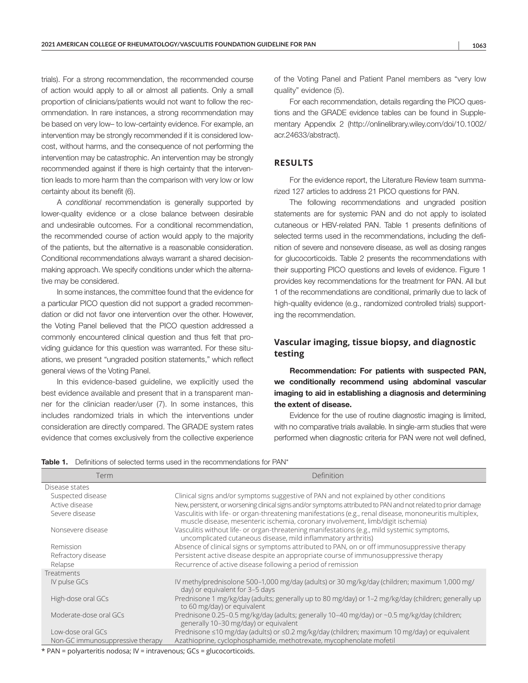trials). For a strong recommendation, the recommended course of action would apply to all or almost all patients. Only a small proportion of clinicians/patients would not want to follow the recommendation. In rare instances, a strong recommendation may be based on very low– to low-certainty evidence. For example, an intervention may be strongly recommended if it is considered lowcost, without harms, and the consequence of not performing the intervention may be catastrophic. An intervention may be strongly recommended against if there is high certainty that the intervention leads to more harm than the comparison with very low or low certainty about its benefit (6).

A *conditional* recommendation is generally supported by lower-quality evidence or a close balance between desirable and undesirable outcomes. For a conditional recommendation, the recommended course of action would apply to the majority of the patients, but the alternative is a reasonable consideration. Conditional recommendations always warrant a shared decisionmaking approach. We specify conditions under which the alternative may be considered.

In some instances, the committee found that the evidence for a particular PICO question did not support a graded recommendation or did not favor one intervention over the other. However, the Voting Panel believed that the PICO question addressed a commonly encountered clinical question and thus felt that providing guidance for this question was warranted. For these situations, we present "ungraded position statements," which reflect general views of the Voting Panel.

In this evidence-based guideline, we explicitly used the best evidence available and present that in a transparent manner for the clinician reader/user (7). In some instances, this includes randomized trials in which the interventions under consideration are directly compared. The GRADE system rates evidence that comes exclusively from the collective experience of the Voting Panel and Patient Panel members as "very low quality" evidence (5).

For each recommendation, details regarding the PICO questions and the GRADE evidence tables can be found in Supplementary Appendix 2 ([http://onlinelibrary.wiley.com/doi/10.1002/](http://onlinelibrary.wiley.com/doi/10.1002/acr.24633/abstract) [acr.24633/abstract\)](http://onlinelibrary.wiley.com/doi/10.1002/acr.24633/abstract).

# **RESULTS**

For the evidence report, the Literature Review team summarized 127 articles to address 21 PICO questions for PAN.

The following recommendations and ungraded position statements are for systemic PAN and do not apply to isolated cutaneous or HBV-related PAN. Table 1 presents definitions of selected terms used in the recommendations, including the definition of severe and nonsevere disease, as well as dosing ranges for glucocorticoids. Table 2 presents the recommendations with their supporting PICO questions and levels of evidence. Figure 1 provides key recommendations for the treatment for PAN. All but 1 of the recommendations are conditional, primarily due to lack of high-quality evidence (e.g., randomized controlled trials) supporting the recommendation.

# **Vascular imaging, tissue biopsy, and diagnostic testing**

Recommendation: For patients with suspected PAN, we conditionally recommend using abdominal vascular imaging to aid in establishing a diagnosis and determining the extent of disease.

Evidence for the use of routine diagnostic imaging is limited, with no comparative trials available. In single-arm studies that were performed when diagnostic criteria for PAN were not well defined,

|  |  |  |  | <b>Table 1.</b> Definitions of selected terms used in the recommendations for PAN* |  |
|--|--|--|--|------------------------------------------------------------------------------------|--|
|--|--|--|--|------------------------------------------------------------------------------------|--|

| Term                             | Definition                                                                                                                                                                                 |
|----------------------------------|--------------------------------------------------------------------------------------------------------------------------------------------------------------------------------------------|
| Disease states                   |                                                                                                                                                                                            |
| Suspected disease                | Clinical signs and/or symptoms suggestive of PAN and not explained by other conditions                                                                                                     |
| Active disease                   | New, persistent, or worsening clinical signs and/or symptoms attributed to PAN and not related to prior damage                                                                             |
| Severe disease                   | Vasculitis with life- or organ-threatening manifestations (e.g., renal disease, mononeuritis multiplex,<br>muscle disease, mesenteric ischemia, coronary involvement, limb/digit ischemia) |
| Nonsevere disease                | Vasculitis without life- or organ-threatening manifestations (e.g., mild systemic symptoms,<br>uncomplicated cutaneous disease, mild inflammatory arthritis)                               |
| Remission                        | Absence of clinical signs or symptoms attributed to PAN, on or off immunosuppressive therapy                                                                                               |
| Refractory disease               | Persistent active disease despite an appropriate course of immunosuppressive therapy                                                                                                       |
| Relapse                          | Recurrence of active disease following a period of remission                                                                                                                               |
| Treatments                       |                                                                                                                                                                                            |
| IV pulse GCs                     | IV methylprednisolone 500-1,000 mg/day (adults) or 30 mg/kg/day (children; maximum 1,000 mg/<br>day) or equivalent for 3-5 days                                                            |
| High-dose oral GCs               | Prednisone 1 mg/kg/day (adults; generally up to 80 mg/day) or 1-2 mg/kg/day (children; generally up<br>to 60 mg/day) or equivalent                                                         |
| Moderate-dose oral GCs           | Prednisone 0.25–0.5 mg/kg/day (adults; generally 10–40 mg/day) or ~0.5 mg/kg/day (children;<br>generally 10-30 mg/day) or equivalent                                                       |
| Low-dose oral GCs                | Prednisone ≤10 mg/day (adults) or ≤0.2 mg/kg/day (children; maximum 10 mg/day) or equivalent                                                                                               |
| Non-GC immunosuppressive therapy | Azathioprine, cyclophosphamide, methotrexate, mycophenolate mofetil                                                                                                                        |

\* PAN = polyarteritis nodosa; IV = intravenous; GCs = glucocorticoids.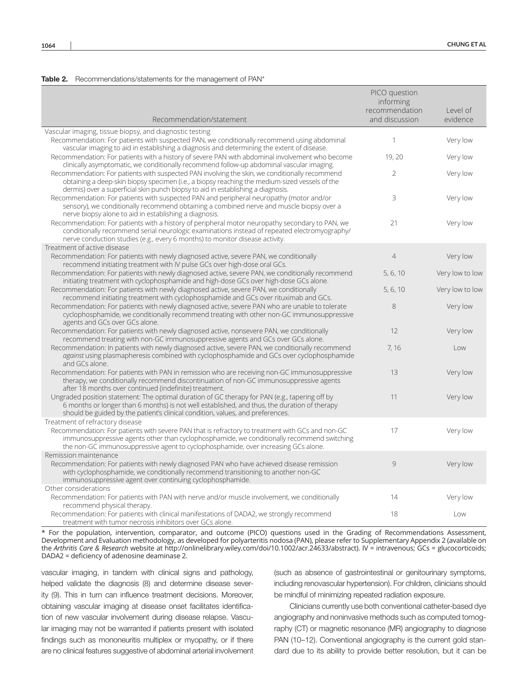#### Table 2. Recommendations/statements for the management of PAN\*

| Recommendation/statement                                                                                                                                                                                                                                                             | PICO question<br>informing<br>recommendation<br>and discussion | Level of<br>evidence |
|--------------------------------------------------------------------------------------------------------------------------------------------------------------------------------------------------------------------------------------------------------------------------------------|----------------------------------------------------------------|----------------------|
| Vascular imaging, tissue biopsy, and diagnostic testing                                                                                                                                                                                                                              |                                                                |                      |
| Recommendation: For patients with suspected PAN, we conditionally recommend using abdominal<br>vascular imaging to aid in establishing a diagnosis and determining the extent of disease.                                                                                            | 1                                                              | Very low             |
| Recommendation: For patients with a history of severe PAN with abdominal involvement who become<br>clinically asymptomatic, we conditionally recommend follow-up abdominal vascular imaging.                                                                                         | 19, 20                                                         | Very low             |
| Recommendation: For patients with suspected PAN involving the skin, we conditionally recommend<br>obtaining a deep-skin biopsy specimen (i.e., a biopsy reaching the medium-sized vessels of the<br>dermis) over a superficial skin punch biopsy to aid in establishing a diagnosis. | $\overline{2}$                                                 | Very low             |
| Recommendation: For patients with suspected PAN and peripheral neuropathy (motor and/or<br>sensory), we conditionally recommend obtaining a combined nerve and muscle biopsy over a<br>nerve biopsy alone to aid in establishing a diagnosis.                                        | 3                                                              | Very low             |
| Recommendation: For patients with a history of peripheral motor neuropathy secondary to PAN, we<br>conditionally recommend serial neurologic examinations instead of repeated electromyography/<br>nerve conduction studies (e.g., every 6 months) to monitor disease activity.      | 21                                                             | Very low             |
| Treatment of active disease                                                                                                                                                                                                                                                          |                                                                |                      |
| Recommendation: For patients with newly diagnosed active, severe PAN, we conditionally<br>recommend initiating treatment with IV pulse GCs over high-dose oral GCs.                                                                                                                  | $\overline{4}$                                                 | Very low             |
| Recommendation: For patients with newly diagnosed active, severe PAN, we conditionally recommend<br>initiating treatment with cyclophosphamide and high-dose GCs over high-dose GCs alone.                                                                                           | 5, 6, 10                                                       | Very low to low      |
| Recommendation: For patients with newly diagnosed active, severe PAN, we conditionally<br>recommend initiating treatment with cyclophosphamide and GCs over rituximab and GCs.                                                                                                       | 5, 6, 10                                                       | Very low to low      |
| Recommendation: For patients with newly diagnosed active, severe PAN who are unable to tolerate<br>cyclophosphamide, we conditionally recommend treating with other non-GC immunosuppressive<br>agents and GCs over GCs alone.                                                       | 8                                                              | Very low             |
| Recommendation: For patients with newly diagnosed active, nonsevere PAN, we conditionally<br>recommend treating with non-GC immunosuppressive agents and GCs over GCs alone.                                                                                                         | 12                                                             | Very low             |
| Recommendation: In patients with newly diagnosed active, severe PAN, we conditionally recommend<br>against using plasmapheresis combined with cyclophosphamide and GCs over cyclophosphamide<br>and GCs alone.                                                                       | 7, 16                                                          | Low                  |
| Recommendation: For patients with PAN in remission who are receiving non-GC immunosuppressive<br>therapy, we conditionally recommend discontinuation of non-GC immunosuppressive agents<br>after 18 months over continued (indefinite) treatment.                                    | 13                                                             | Very low             |
| Ungraded position statement: The optimal duration of GC therapy for PAN (e.g., tapering off by<br>6 months or longer than 6 months) is not well established, and thus, the duration of therapy<br>should be guided by the patient's clinical condition, values, and preferences.     | 11                                                             | Very low             |
| Treatment of refractory disease                                                                                                                                                                                                                                                      |                                                                |                      |
| Recommendation: For patients with severe PAN that is refractory to treatment with GCs and non-GC<br>immunosuppressive agents other than cyclophosphamide, we conditionally recommend switching<br>the non-GC immunosuppressive agent to cyclophosphamide, over increasing GCs alone. | 17                                                             | Very low             |
| Remission maintenance                                                                                                                                                                                                                                                                |                                                                |                      |
| Recommendation: For patients with newly diagnosed PAN who have achieved disease remission<br>with cyclophosphamide, we conditionally recommend transitioning to another non-GC<br>immunosuppressive agent over continuing cyclophosphamide.                                          | 9                                                              | Very low             |
| Other considerations                                                                                                                                                                                                                                                                 |                                                                |                      |
| Recommendation: For patients with PAN with nerve and/or muscle involvement, we conditionally<br>recommend physical therapy.                                                                                                                                                          | 14                                                             | Very low             |
| Recommendation: For patients with clinical manifestations of DADA2, we strongly recommend<br>treatment with tumor necrosis inhibitors over GCs alone.                                                                                                                                | 18                                                             | Low                  |

\* For the population, intervention, comparator, and outcome (PICO) questions used in the Grading of Recommendations Assessment, Development and Evaluation methodology, as developed for polyarteritis nodosa (PAN), please refer to Supplementary Appendix 2 (available on the *Arthritis Care & Research* website at <http://onlinelibrary.wiley.com/doi/10.1002/acr.24633/abstract>). IV = intravenous; GCs = glucocorticoids; DADA2 = deficiency of adenosine deaminase 2.

vascular imaging, in tandem with clinical signs and pathology, helped validate the diagnosis (8) and determine disease severity (9). This in turn can influence treatment decisions. Moreover, obtaining vascular imaging at disease onset facilitates identification of new vascular involvement during disease relapse. Vascular imaging may not be warranted if patients present with isolated findings such as mononeuritis multiplex or myopathy, or if there are no clinical features suggestive of abdominal arterial involvement

(such as absence of gastrointestinal or genitourinary symptoms, including renovascular hypertension). For children, clinicians should be mindful of minimizing repeated radiation exposure.

Clinicians currently use both conventional catheter-based dye angiography and noninvasive methods such as computed tomography (CT) or magnetic resonance (MR) angiography to diagnose PAN (10-12). Conventional angiography is the current gold standard due to its ability to provide better resolution, but it can be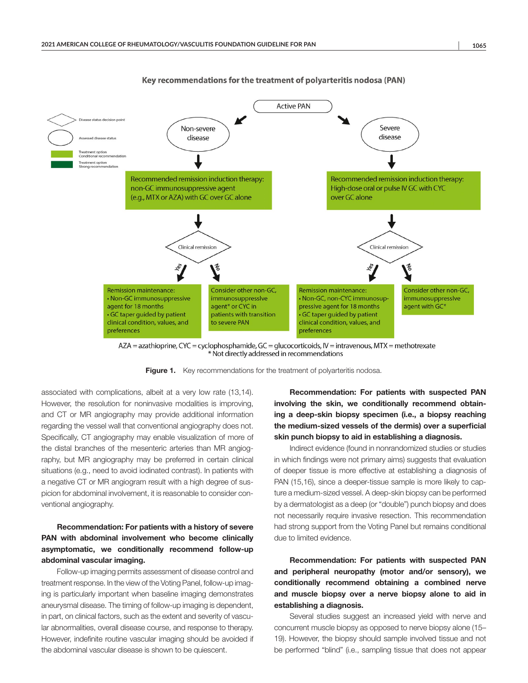

Key recommendations for the treatment of polyarteritis nodosa (PAN)

AZA = azathioprine, CYC = cyclophosphamide, GC = glucocorticoids, IV = intravenous, MTX = methotrexate Not directly addressed in recommendations

Figure 1. Key recommendations for the treatment of polyarteritis nodosa.

associated with complications, albeit at a very low rate (13,14). However, the resolution for noninvasive modalities is improving, and CT or MR angiography may provide additional information regarding the vessel wall that conventional angiography does not. Specifically, CT angiography may enable visualization of more of the distal branches of the mesenteric arteries than MR angiography, but MR angiography may be preferred in certain clinical situations (e.g., need to avoid iodinated contrast). In patients with a negative CT or MR angiogram result with a high degree of suspicion for abdominal involvement, it is reasonable to consider conventional angiography.

# Recommendation: For patients with a history of severe PAN with abdominal involvement who become clinically asymptomatic, we conditionally recommend follow-up abdominal vascular imaging.

Follow-up imaging permits assessment of disease control and treatment response. In the view of the Voting Panel, follow-up imaging is particularly important when baseline imaging demonstrates aneurysmal disease. The timing of follow-up imaging is dependent, in part, on clinical factors, such as the extent and severity of vascular abnormalities, overall disease course, and response to therapy. However, indefinite routine vascular imaging should be avoided if the abdominal vascular disease is shown to be quiescent.

Recommendation: For patients with suspected PAN involving the skin, we conditionally recommend obtaining a deep-skin biopsy specimen (i.e., a biopsy reaching the medium-sized vessels of the dermis) over a superficial skin punch biopsy to aid in establishing a diagnosis.

Indirect evidence (found in nonrandomized studies or studies in which findings were not primary aims) suggests that evaluation of deeper tissue is more effective at establishing a diagnosis of PAN (15,16), since a deeper-tissue sample is more likely to capture a medium-sized vessel. A deep-skin biopsy can be performed by a dermatologist as a deep (or "double") punch biopsy and does not necessarily require invasive resection. This recommendation had strong support from the Voting Panel but remains conditional due to limited evidence.

Recommendation: For patients with suspected PAN and peripheral neuropathy (motor and/or sensory), we conditionally recommend obtaining a combined nerve and muscle biopsy over a nerve biopsy alone to aid in establishing a diagnosis.

Several studies suggest an increased yield with nerve and concurrent muscle biopsy as opposed to nerve biopsy alone (15– 19). However, the biopsy should sample involved tissue and not be performed "blind" (i.e., sampling tissue that does not appear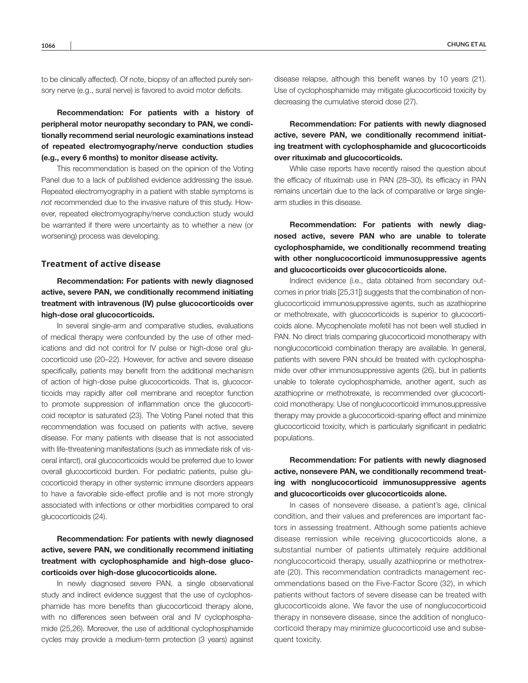to be clinically affected). Of note, biopsy of an affected purely sensory nerve (e.g., sural nerve) is favored to avoid motor deficits.

Recommendation: For patients with a history of peripheral motor neuropathy secondary to PAN, we conditionally recommend serial neurologic examinations instead of repeated electromyography/nerve conduction studies (e.g., every 6 months) to monitor disease activity.

This recommendation is based on the opinion of the Voting Panel due to a lack of published evidence addressing the issue. Repeated electromyography in a patient with stable symptoms is *not* recommended due to the invasive nature of this study. However, repeated electromyography/nerve conduction study would be warranted if there were uncertainty as to whether a new (or worsening) process was developing.

#### **Treatment of active disease**

Recommendation: For patients with newly diagnosed active, severe PAN, we conditionally recommend initiating treatment with intravenous (IV) pulse glucocorticoids over high-dose oral glucocorticoids.

In several single-arm and comparative studies, evaluations of medical therapy were confounded by the use of other medications and did not control for IV pulse or high-dose oral glucocorticoid use (20–22). However, for active and severe disease specifically, patients may benefit from the additional mechanism of action of high-dose pulse glucocorticoids. That is, glucocorticoids may rapidly alter cell membrane and receptor function to promote suppression of inflammation once the glucocorticoid receptor is saturated (23). The Voting Panel noted that this recommendation was focused on patients with active, severe disease. For many patients with disease that is not associated with life-threatening manifestations (such as immediate risk of visceral infarct), oral glucocorticoids would be preferred due to lower overall glucocorticoid burden. For pediatric patients, pulse glucocorticoid therapy in other systemic immune disorders appears to have a favorable side-effect profile and is not more strongly associated with infections or other morbidities compared to oral glucocorticoids (24).

Recommendation: For patients with newly diagnosed active, severe PAN, we conditionally recommend initiating treatment with cyclophosphamide and high-dose glucocorticoids over high-dose glucocorticoids alone.

In newly diagnosed severe PAN, a single observational study and indirect evidence suggest that the use of cyclophosphamide has more benefits than glucocorticoid therapy alone, with no differences seen between oral and IV cyclophosphamide (25,26). Moreover, the use of additional cyclophosphamide cycles may provide a medium-term protection (3 years) against

disease relapse, although this benefit wanes by 10 years (21). Use of cyclophosphamide may mitigate glucocorticoid toxicity by decreasing the cumulative steroid dose (27).

Recommendation: For patients with newly diagnosed active, severe PAN, we conditionally recommend initiating treatment with cyclophosphamide and glucocorticoids over rituximab and glucocorticoids.

While case reports have recently raised the question about the efficacy of rituximab use in PAN (28–30), its efficacy in PAN remains uncertain due to the lack of comparative or large singlearm studies in this disease.

Recommendation: For patients with newly diagnosed active, severe PAN who are unable to tolerate cyclophosphamide, we conditionally recommend treating with other nonglucocorticoid immunosuppressive agents and glucocorticoids over glucocorticoids alone.

Indirect evidence (i.e., data obtained from secondary outcomes in prior trials [25,31]) suggests that the combination of nonglucocorticoid immunosuppressive agents, such as azathioprine or methotrexate, with glucocorticoids is superior to glucocorticoids alone. Mycophenolate mofetil has not been well studied in PAN. No direct trials comparing glucocorticoid monotherapy with nonglucocorticoid combination therapy are available. In general, patients with severe PAN should be treated with cyclophosphamide over other immunosuppressive agents (26), but in patients unable to tolerate cyclophosphamide, another agent, such as azathioprine or methotrexate, is recommended over glucocorticoid monotherapy. Use of nonglucocorticoid immunosuppressive therapy may provide a glucocorticoid-sparing effect and minimize glucocorticoid toxicity, which is particularly significant in pediatric populations.

Recommendation: For patients with newly diagnosed active, nonsevere PAN, we conditionally recommend treating with nonglucocorticoid immunosuppressive agents and glucocorticoids over glucocorticoids alone.

In cases of nonsevere disease, a patient's age, clinical condition, and their values and preferences are important factors in assessing treatment. Although some patients achieve disease remission while receiving glucocorticoids alone, a substantial number of patients ultimately require additional nonglucocorticoid therapy, usually azathioprine or methotrexate (20). This recommendation contradicts management recommendations based on the Five-Factor Score (32), in which patients without factors of severe disease can be treated with glucocorticoids alone. We favor the use of nonglucocorticoid therapy in nonsevere disease, since the addition of nonglucocorticoid therapy may minimize glucocorticoid use and subsequent toxicity.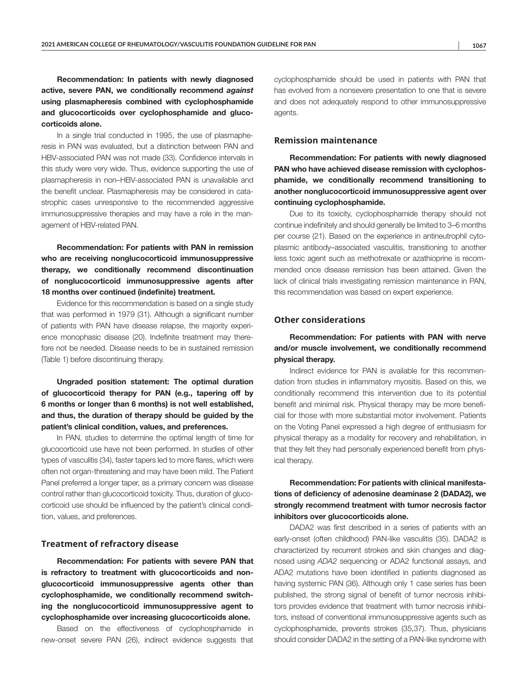Recommendation: In patients with newly diagnosed active, severe PAN, we conditionally recommend *against* using plasmapheresis combined with cyclophosphamide and glucocorticoids over cyclophosphamide and glucocorticoids alone.

In a single trial conducted in 1995, the use of plasmapheresis in PAN was evaluated, but a distinction between PAN and HBV-associated PAN was not made (33). Confidence intervals in this study were very wide. Thus, evidence supporting the use of plasmapheresis in non–HBV-associated PAN is unavailable and the benefit unclear. Plasmapheresis may be considered in catastrophic cases unresponsive to the recommended aggressive immunosuppressive therapies and may have a role in the management of HBV-related PAN.

Recommendation: For patients with PAN in remission who are receiving nonglucocorticoid immunosuppressive therapy, we conditionally recommend discontinuation of nonglucocorticoid immunosuppressive agents after 18 months over continued (indefinite) treatment.

Evidence for this recommendation is based on a single study that was performed in 1979 (31). Although a significant number of patients with PAN have disease relapse, the majority experience monophasic disease (20). Indefinite treatment may therefore not be needed. Disease needs to be in sustained remission (Table 1) before discontinuing therapy.

Ungraded position statement: The optimal duration of glucocorticoid therapy for PAN (e.g., tapering off by 6 months or longer than 6 months) is not well established, and thus, the duration of therapy should be guided by the patient's clinical condition, values, and preferences.

In PAN, studies to determine the optimal length of time for glucocorticoid use have not been performed. In studies of other types of vasculitis (34), faster tapers led to more flares, which were often not organ-threatening and may have been mild. The Patient Panel preferred a longer taper, as a primary concern was disease control rather than glucocorticoid toxicity. Thus, duration of glucocorticoid use should be influenced by the patient's clinical condition, values, and preferences.

#### **Treatment of refractory disease**

Recommendation: For patients with severe PAN that is refractory to treatment with glucocorticoids and nonglucocorticoid immunosuppressive agents other than cyclophosphamide, we conditionally recommend switching the nonglucocorticoid immunosuppressive agent to cyclophosphamide over increasing glucocorticoids alone.

Based on the effectiveness of cyclophosphamide in new-onset severe PAN (26), indirect evidence suggests that

cyclophosphamide should be used in patients with PAN that has evolved from a nonsevere presentation to one that is severe and does not adequately respond to other immunosuppressive agents.

## **Remission maintenance**

Recommendation: For patients with newly diagnosed PAN who have achieved disease remission with cyclophosphamide, we conditionally recommend transitioning to another nonglucocorticoid immunosuppressive agent over continuing cyclophosphamide.

Due to its toxicity, cyclophosphamide therapy should not continue indefinitely and should generally be limited to 3–6 months per course (21). Based on the experience in antineutrophil cytoplasmic antibody–associated vasculitis, transitioning to another less toxic agent such as methotrexate or azathioprine is recommended once disease remission has been attained. Given the lack of clinical trials investigating remission maintenance in PAN, this recommendation was based on expert experience.

## **Other considerations**

Recommendation: For patients with PAN with nerve and/or muscle involvement, we conditionally recommend physical therapy.

Indirect evidence for PAN is available for this recommendation from studies in inflammatory myositis. Based on this, we conditionally recommend this intervention due to its potential benefit and minimal risk. Physical therapy may be more beneficial for those with more substantial motor involvement. Patients on the Voting Panel expressed a high degree of enthusiasm for physical therapy as a modality for recovery and rehabilitation, in that they felt they had personally experienced benefit from physical therapy.

# Recommendation: For patients with clinical manifestations of deficiency of adenosine deaminase 2 (DADA2), we strongly recommend treatment with tumor necrosis factor inhibitors over glucocorticoids alone.

DADA2 was first described in a series of patients with an early-onset (often childhood) PAN-like vasculitis (35). DADA2 is characterized by recurrent strokes and skin changes and diagnosed using *ADA2* sequencing or ADA2 functional assays, and ADA2 mutations have been identified in patients diagnosed as having systemic PAN (36). Although only 1 case series has been published, the strong signal of benefit of tumor necrosis inhibitors provides evidence that treatment with tumor necrosis inhibitors, instead of conventional immunosuppressive agents such as cyclophosphamide, prevents strokes (35,37). Thus, physicians should consider DADA2 in the setting of a PAN-like syndrome with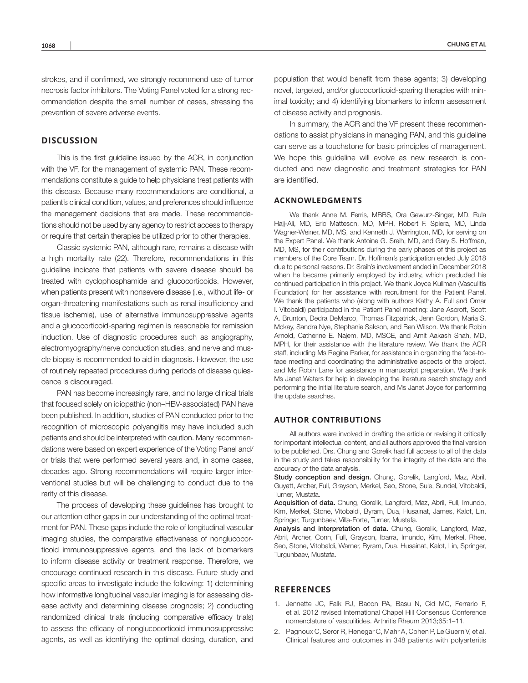strokes, and if confirmed, we strongly recommend use of tumor necrosis factor inhibitors. The Voting Panel voted for a strong recommendation despite the small number of cases, stressing the prevention of severe adverse events.

# **DISCUSSION**

This is the first guideline issued by the ACR, in conjunction with the VF, for the management of systemic PAN. These recommendations constitute a guide to help physicians treat patients with this disease. Because many recommendations are conditional, a patient's clinical condition, values, and preferences should influence the management decisions that are made. These recommendations should not be used by any agency to restrict access to therapy or require that certain therapies be utilized prior to other therapies.

Classic systemic PAN, although rare, remains a disease with a high mortality rate (22). Therefore, recommendations in this guideline indicate that patients with severe disease should be treated with cyclophosphamide and glucocorticoids. However, when patients present with nonsevere disease (i.e., without life- or organ-threatening manifestations such as renal insufficiency and tissue ischemia), use of alternative immunosuppressive agents and a glucocorticoid-sparing regimen is reasonable for remission induction. Use of diagnostic procedures such as angiography, electromyography/nerve conduction studies, and nerve and muscle biopsy is recommended to aid in diagnosis. However, the use of routinely repeated procedures during periods of disease quiescence is discouraged.

PAN has become increasingly rare, and no large clinical trials that focused solely on idiopathic (non–HBV-associated) PAN have been published. In addition, studies of PAN conducted prior to the recognition of microscopic polyangiitis may have included such patients and should be interpreted with caution. Many recommendations were based on expert experience of the Voting Panel and/ or trials that were performed several years and, in some cases, decades ago. Strong recommendations will require larger interventional studies but will be challenging to conduct due to the rarity of this disease.

The process of developing these guidelines has brought to our attention other gaps in our understanding of the optimal treatment for PAN. These gaps include the role of longitudinal vascular imaging studies, the comparative effectiveness of nonglucocorticoid immunosuppressive agents, and the lack of biomarkers to inform disease activity or treatment response. Therefore, we encourage continued research in this disease. Future study and specific areas to investigate include the following: 1) determining how informative longitudinal vascular imaging is for assessing disease activity and determining disease prognosis; 2) conducting randomized clinical trials (including comparative efficacy trials) to assess the efficacy of nonglucocorticoid immunosuppressive agents, as well as identifying the optimal dosing, duration, and

population that would benefit from these agents; 3) developing novel, targeted, and/or glucocorticoid-sparing therapies with minimal toxicity; and 4) identifying biomarkers to inform assessment of disease activity and prognosis.

In summary, the ACR and the VF present these recommendations to assist physicians in managing PAN, and this guideline can serve as a touchstone for basic principles of management. We hope this guideline will evolve as new research is conducted and new diagnostic and treatment strategies for PAN are identified.

#### **ACKNOWLEDGMENTS**

We thank Anne M. Ferris, MBBS, Ora Gewurz-Singer, MD, Rula Hajj-Ali, MD, Eric Matteson, MD, MPH, Robert F. Spiera, MD, Linda Wagner-Weiner, MD, MS, and Kenneth J. Warrington, MD, for serving on the Expert Panel. We thank Antoine G. Sreih, MD, and Gary S. Hoffman, MD, MS, for their contributions during the early phases of this project as members of the Core Team. Dr. Hoffman's participation ended July 2018 due to personal reasons. Dr. Sreih's involvement ended in December 2018 when he became primarily employed by industry, which precluded his continued participation in this project. We thank Joyce Kullman (Vasculitis Foundation) for her assistance with recruitment for the Patient Panel. We thank the patients who (along with authors Kathy A. Full and Omar I. Vitobaldi) participated in the Patient Panel meeting: Jane Ascroft, Scott A. Brunton, Dedra DeMarco, Thomas Fitzpatrick, Jenn Gordon, Maria S. Mckay, Sandra Nye, Stephanie Sakson, and Ben Wilson. We thank Robin Arnold, Catherine E. Najem, MD, MSCE, and Amit Aakash Shah, MD, MPH, for their assistance with the literature review. We thank the ACR staff, including Ms Regina Parker, for assistance in organizing the face-toface meeting and coordinating the administrative aspects of the project, and Ms Robin Lane for assistance in manuscript preparation. We thank Ms Janet Waters for help in developing the literature search strategy and performing the initial literature search, and Ms Janet Joyce for performing the update searches.

#### **AUTHOR CONTRIBUTIONS**

All authors were involved in drafting the article or revising it critically for important intellectual content, and all authors approved the final version to be published. Drs. Chung and Gorelik had full access to all of the data in the study and takes responsibility for the integrity of the data and the accuracy of the data analysis.

Study conception and design. Chung, Gorelik, Langford, Maz, Abril, Guyatt, Archer, Full, Grayson, Merkel, Seo, Stone, Sule, Sundel, Vitobaldi, Turner, Mustafa.

Acquisition of data. Chung, Gorelik, Langford, Maz, Abril, Full, Imundo, Kim, Merkel, Stone, Vitobaldi, Byram, Dua, Husainat, James, Kalot, Lin, Springer, Turgunbaev, Villa-Forte, Turner, Mustafa.

Analysis and interpretation of data. Chung, Gorelik, Langford, Maz, Abril, Archer, Conn, Full, Grayson, Ibarra, Imundo, Kim, Merkel, Rhee, Seo, Stone, Vitobaldi, Warner, Byram, Dua, Husainat, Kalot, Lin, Springer, Turgunbaev, Mustafa.

## **REFERENCES**

- 1. Jennette JC, Falk RJ, Bacon PA, Basu N, Cid MC, Ferrario F, et al. 2012 revised International Chapel Hill Consensus Conference nomenclature of vasculitides. Arthritis Rheum 2013;65:1–11.
- 2. Pagnoux C, Seror R, Henegar C, Mahr A, Cohen P, Le Guern V, et al. Clinical features and outcomes in 348 patients with polyarteritis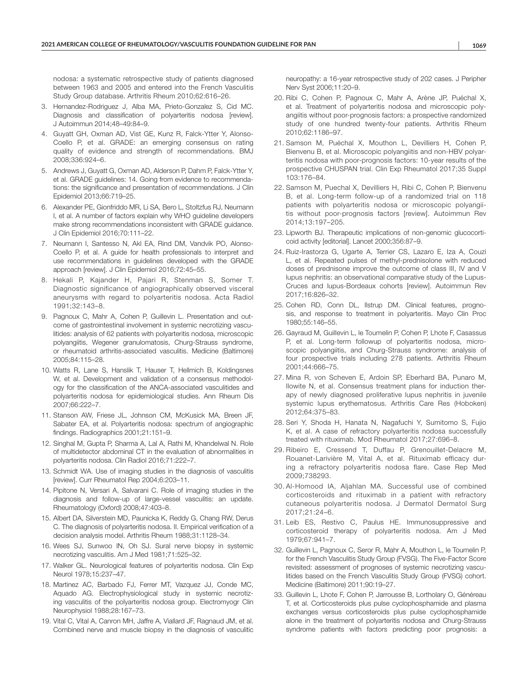nodosa: a systematic retrospective study of patients diagnosed between 1963 and 2005 and entered into the French Vasculitis Study Group database. Arthritis Rheum 2010;62:616–26.

- 3. Hernandez-Rodriguez J, Alba MA, Prieto-Gonzalez S, Cid MC. Diagnosis and classification of polyarteritis nodosa [review]. J Autoimmun 2014;48–49:84–9.
- 4. Guyatt GH, Oxman AD, Vist GE, Kunz R, Falck-Ytter Y, Alonso-Coello P, et al. GRADE: an emerging consensus on rating quality of evidence and strength of recommendations. BMJ 2008;336:924–6.
- 5. Andrews J, Guyatt G, Oxman AD, Alderson P, Dahm P, Falck-Ytter Y, et al. GRADE guidelines: 14. Going from evidence to recommendations: the significance and presentation of recommendations. J Clin Epidemiol 2013;66:719–25.
- 6. Alexander PE, Gionfriddo MR, Li SA, Bero L, Stoltzfus RJ, Neumann I, et al. A number of factors explain why WHO guideline developers make strong recommendations inconsistent with GRADE guidance. J Clin Epidemiol 2016;70:111–22.
- 7. Neumann I, Santesso N, Akl EA, Rind DM, Vandvik PO, Alonso-Coello P, et al. A guide for health professionals to interpret and use recommendations in guidelines developed with the GRADE approach [review]. J Clin Epidemiol 2016;72:45–55.
- 8. Hekali P, Kajander H, Pajari R, Stenman S, Somer T. Diagnostic significance of angiographically observed visceral aneurysms with regard to polyarteritis nodosa. Acta Radiol 1991;32:143–8.
- 9. Pagnoux C, Mahr A, Cohen P, Guillevin L. Presentation and outcome of gastrointestinal involvement in systemic necrotizing vasculitides: analysis of 62 patients with polyarteritis nodosa, microscopic polyangiitis, Wegener granulomatosis, Churg-Strauss syndrome, or rheumatoid arthritis-associated vasculitis. Medicine (Baltimore) 2005;84:115–28.
- 10. Watts R, Lane S, Hanslik T, Hauser T, Hellmich B, Koldingsnes W, et al. Development and validation of a consensus methodology for the classification of the ANCA-associated vasculitides and polyarteritis nodosa for epidemiological studies. Ann Rheum Dis 2007;66:222–7.
- 11. Stanson AW, Friese JL, Johnson CM, McKusick MA, Breen JF, Sabater EA, et al. Polyarteritis nodosa: spectrum of angiographic findings. Radiographics 2001;21:151–9.
- 12. Singhal M, Gupta P, Sharma A, Lal A, Rathi M, Khandelwal N. Role of multidetector abdominal CT in the evaluation of abnormalities in polyarteritis nodosa. Clin Radiol 2016;71:222–7.
- 13. Schmidt WA. Use of imaging studies in the diagnosis of vasculitis [review]. Curr Rheumatol Rep 2004;6:203–11.
- 14. Pipitone N, Versari A, Salvarani C. Role of imaging studies in the diagnosis and follow-up of large-vessel vasculitis: an update. Rheumatology (Oxford) 2008;47:403–8.
- 15. Albert DA, Silverstein MD, Paunicka K, Reddy G, Chang RW, Derus C. The diagnosis of polyarteritis nodosa. II. Empirical verification of a decision analysis model. Arthritis Rheum 1988;31:1128–34.
- 16. Wees SJ, Sunwoo IN, Oh SJ. Sural nerve biopsy in systemic necrotizing vasculitis. Am J Med 1981;71:525–32.
- 17. Walker GL. Neurological features of polyarteritis nodosa. Clin Exp Neurol 1978;15:237–47.
- 18. Martinez AC, Barbado FJ, Ferrer MT, Vazquez JJ, Conde MC, Aquado AG. Electrophysiological study in systemic necrotizing vasculitis of the polyarteritis nodosa group. Electromyogr Clin Neurophysiol 1988;28:167–73.
- 19. Vital C, Vital A, Canron MH, Jaffre A, Viallard JF, Ragnaud JM, et al. Combined nerve and muscle biopsy in the diagnosis of vasculitic

neuropathy: a 16-year retrospective study of 202 cases. J Peripher Nerv Syst 2006;11:20–9.

- 20. Ribi C, Cohen P, Pagnoux C, Mahr A, Arène JP, Puéchal X, et al. Treatment of polyarteritis nodosa and microscopic polyangiitis without poor-prognosis factors: a prospective randomized study of one hundred twenty-four patients. Arthritis Rheum 2010;62:1186–97.
- 21. Samson M, Puéchal X, Mouthon L, Devilliers H, Cohen P, Bienvenu B, et al. Microscopic polyangiitis and non-HBV polyarteritis nodosa with poor-prognosis factors: 10-year results of the prospective CHUSPAN trial. Clin Exp Rheumatol 2017;35 Suppl 103:176–84.
- 22. Samson M, Puechal X, Devilliers H, Ribi C, Cohen P, Bienvenu B, et al. Long-term follow-up of a randomized trial on 118 patients with polyarteritis nodosa or microscopic polyangiitis without poor-prognosis factors [review]. Autoimmun Rev 2014;13:197–205.
- 23. Lipworth BJ. Therapeutic implications of non-genomic glucocorticoid activity [editorial]. Lancet 2000;356:87–9.
- 24. Ruiz-Irastorza G, Ugarte A, Terrier CS, Lazaro E, Iza A, Couzi L, et al. Repeated pulses of methyl-prednisolone with reduced doses of prednisone improve the outcome of class III, IV and V lupus nephritis: an observational comparative study of the Lupus-Cruces and lupus-Bordeaux cohorts [review]. Autoimmun Rev 2017;16:826–32.
- 25. Cohen RD, Conn DL, Ilstrup DM. Clinical features, prognosis, and response to treatment in polyarteritis. Mayo Clin Proc 1980;55:146–55.
- 26. Gayraud M, Guillevin L, le Toumelin P, Cohen P, Lhote F, Casassus P, et al. Long-term followup of polyarteritis nodosa, microscopic polyangiitis, and Churg-Strauss syndrome: analysis of four prospective trials including 278 patients. Arthritis Rheum 2001;44:666–75.
- 27. Mina R, von Scheven E, Ardoin SP, Eberhard BA, Punaro M, Ilowite N, et al. Consensus treatment plans for induction therapy of newly diagnosed proliferative lupus nephritis in juvenile systemic lupus erythematosus. Arthritis Care Res (Hoboken) 2012;64:375–83.
- 28. Seri Y, Shoda H, Hanata N, Nagafuchi Y, Sumitomo S, Fujio K, et al. A case of refractory polyarteritis nodosa successfully treated with rituximab. Mod Rheumatol 2017;27:696–8.
- 29. Ribeiro E, Cressend T, Duffau P, Grenouillet-Delacre M, Rouanet-Larivière M, Vital A, et al. Rituximab efficacy during a refractory polyarteritis nodosa flare. Case Rep Med 2009;738293.
- 30. Al-Homood IA, Aljahlan MA. Successful use of combined corticosteroids and rituximab in a patient with refractory cutaneous polyarteritis nodosa. J Dermatol Dermatol Surg 2017;21:24–6.
- 31. Leib ES, Restivo C, Paulus HE. Immunosuppressive and corticosteroid therapy of polyarteritis nodosa. Am J Med 1979;67:941–7.
- 32. Guillevin L, Pagnoux C, Seror R, Mahr A, Mouthon L, le Toumelin P, for the French Vasculitis Study Group (FVSG). The Five-Factor Score revisited: assessment of prognoses of systemic necrotizing vasculitides based on the French Vasculitis Study Group (FVSG) cohort. Medicine (Baltimore) 2011;90:19–27.
- 33. Guillevin L, Lhote F, Cohen P, Jarrousse B, Lortholary O, Généreau T, et al. Corticosteroids plus pulse cyclophosphamide and plasma exchanges versus corticosteroids plus pulse cyclophosphamide alone in the treatment of polyarteritis nodosa and Churg-Strauss syndrome patients with factors predicting poor prognosis: a